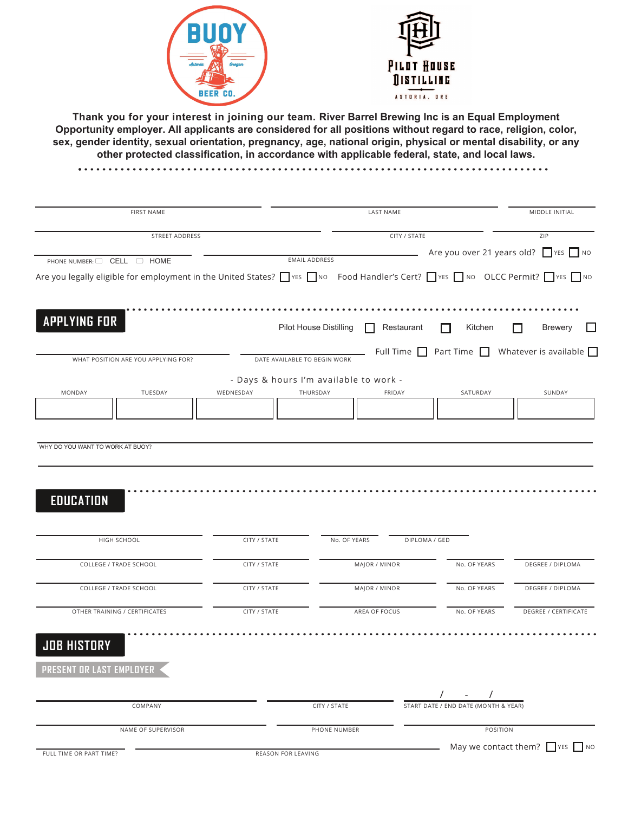**Thank you for your interest in joining our team. River Barrel Brewing Inc is an Equal Employment Opportunity employer. All applicants are considered for all positions without regard to race, religion, color, sex, gender identity, sexual orientation, pregnancy, age, national origin, physical or mental disability, or any other protected classification, in accordance with applicable federal, state, and local laws.**

|                                                                                                                               | <b>FIRST NAME</b> |                                        |                         |                                      | MIDDLE INITIAL                                                             |  |
|-------------------------------------------------------------------------------------------------------------------------------|-------------------|----------------------------------------|-------------------------|--------------------------------------|----------------------------------------------------------------------------|--|
| STREET ADDRESS                                                                                                                |                   |                                        | CITY / STATE            |                                      |                                                                            |  |
| PHONE NUMBER: CELL C HOME                                                                                                     |                   | <b>EMAIL ADDRESS</b>                   |                         |                                      | Are you over 21 years old? VES No                                          |  |
| Are you legally eligible for employment in the United States? I YES INO Food Handler's Cert? I YES INO OLCC Permit? I YES INO |                   |                                        |                         |                                      |                                                                            |  |
|                                                                                                                               |                   |                                        |                         |                                      |                                                                            |  |
|                                                                                                                               |                   |                                        |                         |                                      |                                                                            |  |
| <b>APPLYING FOR</b>                                                                                                           |                   | roduction<br><b>Brewery</b>            | Restaurant<br>ood Truck | Pilot House<br>Distilling            | LVWULEWRU                                                                  |  |
| WHAT POSITION ARE YOU APPLYING FOR?                                                                                           |                   | DATE AVAILABLE TO BEGIN WORK           |                         |                                      | Full Time $\Box$ Part Time $\Box$ Whatever is available $\Box$             |  |
|                                                                                                                               |                   | - Days & hours I'm available to work - |                         |                                      |                                                                            |  |
| MONDAY<br>TUESDAY                                                                                                             | WEDNESDAY         | THURSDAY                               | <b>FRIDAY</b>           | SATURDAY                             | SUNDAY                                                                     |  |
|                                                                                                                               |                   |                                        |                         |                                      |                                                                            |  |
|                                                                                                                               |                   |                                        |                         |                                      |                                                                            |  |
|                                                                                                                               |                   |                                        |                         |                                      |                                                                            |  |
|                                                                                                                               |                   |                                        |                         |                                      |                                                                            |  |
| HIGH SCHOOL                                                                                                                   | CITY / STATE      | No. OF YEARS                           | DIPLOMA / GED           |                                      |                                                                            |  |
| COLLEGE / TRADE SCHOOL                                                                                                        | CITY / STATE      | MAJOR / MINOR                          |                         | No. OF YEARS                         |                                                                            |  |
| COLLEGE / TRADE SCHOOL                                                                                                        | CITY / STATE      | MAJOR / MINOR                          |                         | No. OF YEARS                         |                                                                            |  |
| OTHER TRAINING / CERTIFICATES                                                                                                 | CITY / STATE      | AREA OF FOCUS                          |                         | No. OF YEARS                         |                                                                            |  |
|                                                                                                                               |                   |                                        |                         |                                      |                                                                            |  |
|                                                                                                                               |                   |                                        |                         |                                      |                                                                            |  |
| <b>EDUCATION</b><br><b>JOB HISTORY</b><br>PRESENT OR LAST EMPLOYER                                                            |                   |                                        |                         |                                      | <b>DEGREE / DIPLOMA</b><br><b>DEGREE / DIPLOMA</b><br>DEGREE / CERTIFICATE |  |
|                                                                                                                               |                   |                                        |                         |                                      |                                                                            |  |
| COMPANY                                                                                                                       |                   | CITY / STATE                           |                         | START DATE / END DATE (MONTH & YEAR) |                                                                            |  |
| NAME OF SUPERVISOR                                                                                                            |                   | PHONE NUMBER                           |                         | POSITION                             |                                                                            |  |